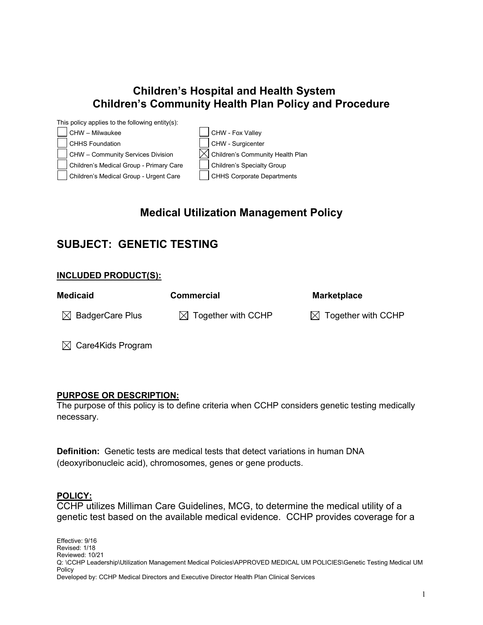### **Children's Hospital and Health System Children's Community Health Plan Policy and Procedure**

| This policy applies to the following entity(s): |                                              |
|-------------------------------------------------|----------------------------------------------|
| CHW - Milwaukee                                 | CHW - Fox Valley                             |
| CHHS Foundation                                 | CHW - Surgicenter                            |
| CHW - Community Services Division               | $\boxtimes$ Children's Community Health Plan |
| Children's Medical Group - Primary Care         | Children's Specialty Group                   |
| Children's Medical Group - Urgent Care          | <b>CHHS Corporate Departments</b>            |
|                                                 |                                              |

# **Medical Utilization Management Policy**

# **SUBJECT: GENETIC TESTING**

### **INCLUDED PRODUCT(S):**

| <b>Medicaid</b>             | <b>Commercial</b>              | <b>Marketplace</b>             |
|-----------------------------|--------------------------------|--------------------------------|
| $\boxtimes$ BadgerCare Plus | $\boxtimes$ Together with CCHP | $\boxtimes$ Together with CCHP |
|                             |                                |                                |

 $\boxtimes$  Care4Kids Program

#### **PURPOSE OR DESCRIPTION:**

The purpose of this policy is to define criteria when CCHP considers genetic testing medically necessary.

**Definition:**Genetic tests are medical tests that detect variations in human DNA (deoxyribonucleic acid), chromosomes, genes or gene products.

### **POLICY:**

CCHP utilizes Milliman Care Guidelines, MCG, to determine the medical utility of a genetic test based on the available medical evidence. CCHP provides coverage for a

Effective: 9/16 Revised: 1/18 Reviewed: 10/21 Q: \CCHP Leadership\Utilization Management Medical Policies\APPROVED MEDICAL UM POLICIES\Genetic Testing Medical UM Policy Developed by: CCHP Medical Directors and Executive Director Health Plan Clinical Services